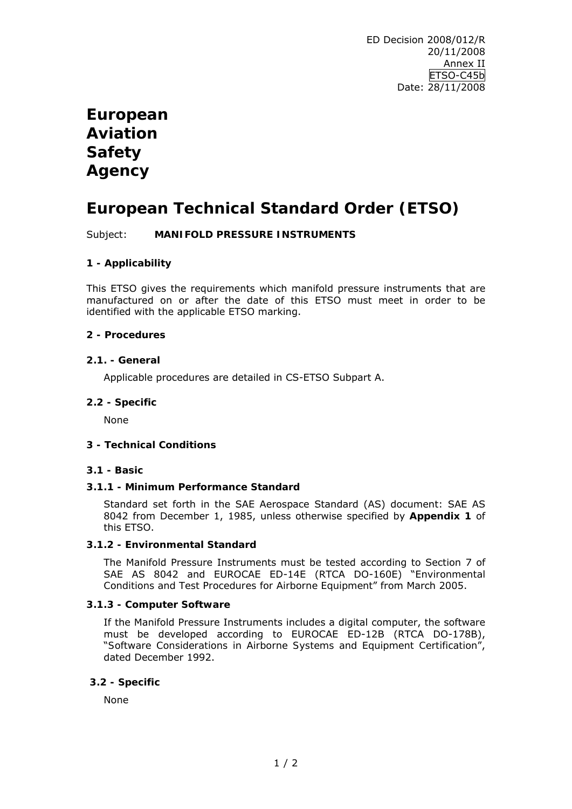# **European Aviation Safety Agency**

## **European Technical Standard Order (ETSO)**

Subject: **MANIFOLD PRESSURE INSTRUMENTS** 

## **1 - Applicability**

This ETSO gives the requirements which manifold pressure instruments that are manufactured on or after the date of this ETSO must meet in order to be identified with the applicable ETSO marking.

### **2 - Procedures**

#### **2.1. - General**

Applicable procedures are detailed in CS-ETSO Subpart A.

### **2.2 - Specific**

None

#### **3 - Technical Conditions**

#### **3.1 - Basic**

## **3.1.1 - Minimum Performance Standard**

Standard set forth in the SAE Aerospace Standard (AS) document: SAE AS 8042 from December 1, 1985, unless otherwise specified by **Appendix 1** of this ETSO.

## **3.1.2 - Environmental Standard**

The Manifold Pressure Instruments must be tested according to Section 7 of SAE AS 8042 and EUROCAE ED-14E (RTCA DO-160E) "*Environmental Conditions and Test Procedures for Airborne Equipment*" from March 2005.

#### **3.1.3 - Computer Software**

If the Manifold Pressure Instruments includes a digital computer, the software must be developed according to EUROCAE ED-12B (RTCA DO-178B), "*Software Considerations in Airborne Systems and Equipment Certification*", dated December 1992.

#### **3.2 - Specific**

None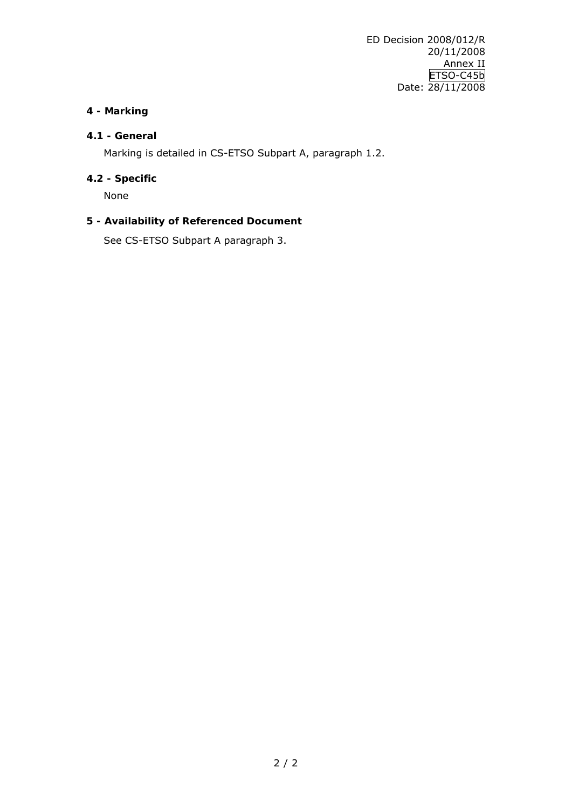## **4 - Marking**

## **4.1 - General**

Marking is detailed in CS-ETSO Subpart A, paragraph 1.2.

## **4.2 - Specific**

None

### **5 - Availability of Referenced Document**

See CS-ETSO Subpart A paragraph 3.